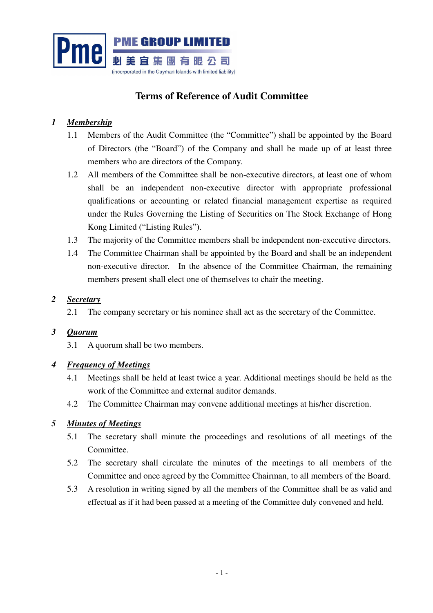

# **Terms of Reference of Audit Committee**

# *1 Membership*

- 1.1 Members of the Audit Committee (the "Committee") shall be appointed by the Board of Directors (the "Board") of the Company and shall be made up of at least three members who are directors of the Company.
- 1.2 All members of the Committee shall be non-executive directors, at least one of whom shall be an independent non-executive director with appropriate professional qualifications or accounting or related financial management expertise as required under the Rules Governing the Listing of Securities on The Stock Exchange of Hong Kong Limited ("Listing Rules").
- 1.3 The majority of the Committee members shall be independent non-executive directors.
- 1.4 The Committee Chairman shall be appointed by the Board and shall be an independent non-executive director. In the absence of the Committee Chairman, the remaining members present shall elect one of themselves to chair the meeting.

#### *2 Secretary*

2.1 The company secretary or his nominee shall act as the secretary of the Committee.

#### *3 Quorum*

3.1 A quorum shall be two members.

# *4 Frequency of Meetings*

- 4.1 Meetings shall be held at least twice a year. Additional meetings should be held as the work of the Committee and external auditor demands.
- 4.2 The Committee Chairman may convene additional meetings at his/her discretion.

# *5 Minutes of Meetings*

- 5.1 The secretary shall minute the proceedings and resolutions of all meetings of the Committee.
- 5.2 The secretary shall circulate the minutes of the meetings to all members of the Committee and once agreed by the Committee Chairman, to all members of the Board.
- 5.3 A resolution in writing signed by all the members of the Committee shall be as valid and effectual as if it had been passed at a meeting of the Committee duly convened and held.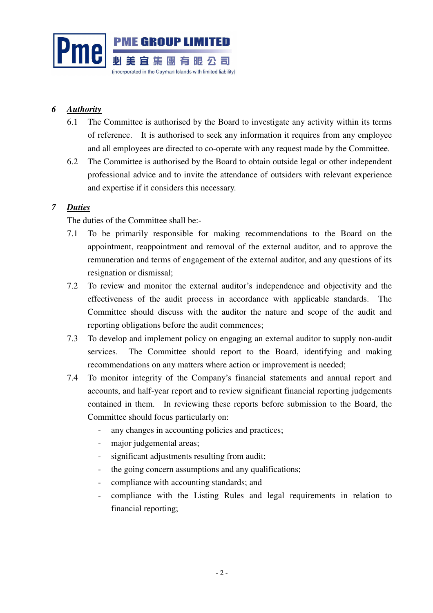

## *6 Authority*

- 6.1 The Committee is authorised by the Board to investigate any activity within its terms of reference. It is authorised to seek any information it requires from any employee and all employees are directed to co-operate with any request made by the Committee.
- 6.2 The Committee is authorised by the Board to obtain outside legal or other independent professional advice and to invite the attendance of outsiders with relevant experience and expertise if it considers this necessary.

### *7 Duties*

The duties of the Committee shall be:-

- 7.1 To be primarily responsible for making recommendations to the Board on the appointment, reappointment and removal of the external auditor, and to approve the remuneration and terms of engagement of the external auditor, and any questions of its resignation or dismissal;
- 7.2 To review and monitor the external auditor's independence and objectivity and the effectiveness of the audit process in accordance with applicable standards. The Committee should discuss with the auditor the nature and scope of the audit and reporting obligations before the audit commences;
- 7.3 To develop and implement policy on engaging an external auditor to supply non-audit services. The Committee should report to the Board, identifying and making recommendations on any matters where action or improvement is needed;
- 7.4 To monitor integrity of the Company's financial statements and annual report and accounts, and half-year report and to review significant financial reporting judgements contained in them. In reviewing these reports before submission to the Board, the Committee should focus particularly on:
	- any changes in accounting policies and practices;
	- major judgemental areas;
	- significant adjustments resulting from audit;
	- the going concern assumptions and any qualifications;
	- compliance with accounting standards; and
	- compliance with the Listing Rules and legal requirements in relation to financial reporting;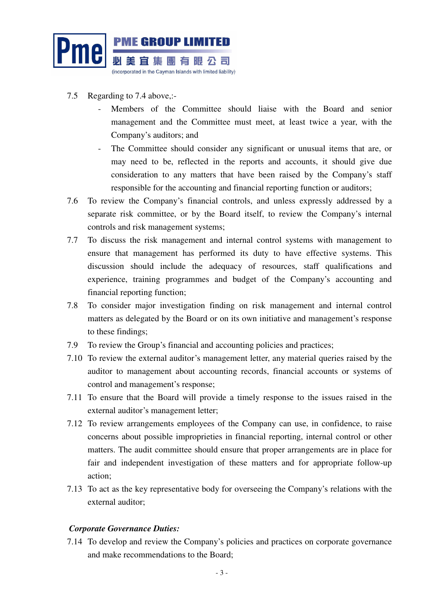

- 7.5 Regarding to 7.4 above,:-
	- Members of the Committee should liaise with the Board and senior management and the Committee must meet, at least twice a year, with the Company's auditors; and
	- The Committee should consider any significant or unusual items that are, or may need to be, reflected in the reports and accounts, it should give due consideration to any matters that have been raised by the Company's staff responsible for the accounting and financial reporting function or auditors;
- 7.6 To review the Company's financial controls, and unless expressly addressed by a separate risk committee, or by the Board itself, to review the Company's internal controls and risk management systems;
- 7.7 To discuss the risk management and internal control systems with management to ensure that management has performed its duty to have effective systems. This discussion should include the adequacy of resources, staff qualifications and experience, training programmes and budget of the Company's accounting and financial reporting function;
- 7.8 To consider major investigation finding on risk management and internal control matters as delegated by the Board or on its own initiative and management's response to these findings;
- 7.9 To review the Group's financial and accounting policies and practices;
- 7.10 To review the external auditor's management letter, any material queries raised by the auditor to management about accounting records, financial accounts or systems of control and management's response;
- 7.11 To ensure that the Board will provide a timely response to the issues raised in the external auditor's management letter;
- 7.12 To review arrangements employees of the Company can use, in confidence, to raise concerns about possible improprieties in financial reporting, internal control or other matters. The audit committee should ensure that proper arrangements are in place for fair and independent investigation of these matters and for appropriate follow-up action;
- 7.13 To act as the key representative body for overseeing the Company's relations with the external auditor;

#### *Corporate Governance Duties:*

7.14 To develop and review the Company's policies and practices on corporate governance and make recommendations to the Board;